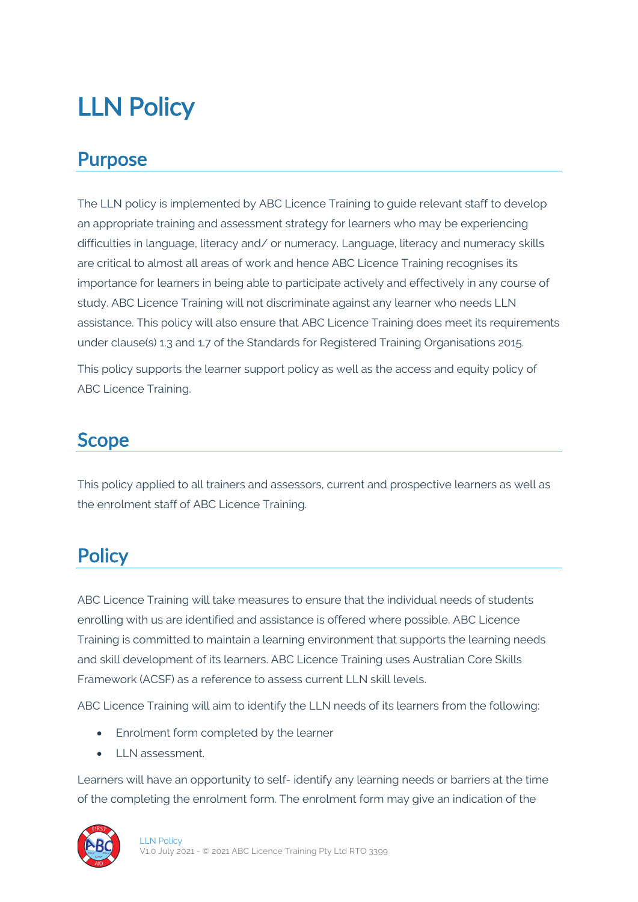# LLN Policy

#### Purpose

The LLN policy is implemented by ABC Licence Training to guide relevant staff to develop an appropriate training and assessment strategy for learners who may be experiencing difficulties in language, literacy and/ or numeracy. Language, literacy and numeracy skills are critical to almost all areas of work and hence ABC Licence Training recognises its importance for learners in being able to participate actively and effectively in any course of study. ABC Licence Training will not discriminate against any learner who needs LLN assistance. This policy will also ensure that ABC Licence Training does meet its requirements under clause(s) 1.3 and 1.7 of the Standards for Registered Training Organisations 2015.

This policy supports the learner support policy as well as the access and equity policy of ABC Licence Training.

#### Scope

This policy applied to all trainers and assessors, current and prospective learners as well as the enrolment staff of ABC Licence Training.

### **Policy**

ABC Licence Training will take measures to ensure that the individual needs of students enrolling with us are identified and assistance is offered where possible. ABC Licence Training is committed to maintain a learning environment that supports the learning needs and skill development of its learners. ABC Licence Training uses Australian Core Skills Framework (ACSF) as a reference to assess current LLN skill levels.

ABC Licence Training will aim to identify the LLN needs of its learners from the following:

- Enrolment form completed by the learner
- LLN assessment.

Learners will have an opportunity to self- identify any learning needs or barriers at the time of the completing the enrolment form. The enrolment form may give an indication of the

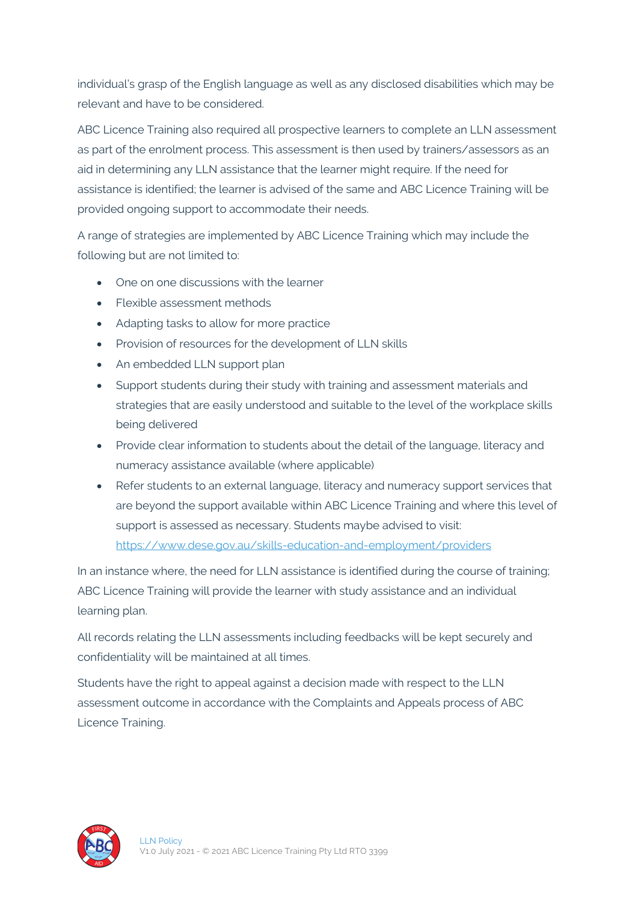individual's grasp of the English language as well as any disclosed disabilities which may be relevant and have to be considered.

ABC Licence Training also required all prospective learners to complete an LLN assessment as part of the enrolment process. This assessment is then used by trainers/assessors as an aid in determining any LLN assistance that the learner might require. If the need for assistance is identified; the learner is advised of the same and ABC Licence Training will be provided ongoing support to accommodate their needs.

A range of strategies are implemented by ABC Licence Training which may include the following but are not limited to:

- One on one discussions with the learner
- Flexible assessment methods
- Adapting tasks to allow for more practice
- Provision of resources for the development of LLN skills
- An embedded LLN support plan
- Support students during their study with training and assessment materials and strategies that are easily understood and suitable to the level of the workplace skills being delivered
- Provide clear information to students about the detail of the language, literacy and numeracy assistance available (where applicable)
- Refer students to an external language, literacy and numeracy support services that are beyond the support available within ABC Licence Training and where this level of support is assessed as necessary. Students maybe advised to visit: https://www.dese.gov.au/skills-education-and-employment/providers

In an instance where, the need for LLN assistance is identified during the course of training; ABC Licence Training will provide the learner with study assistance and an individual learning plan.

All records relating the LLN assessments including feedbacks will be kept securely and confidentiality will be maintained at all times.

Students have the right to appeal against a decision made with respect to the LLN assessment outcome in accordance with the Complaints and Appeals process of ABC Licence Training.